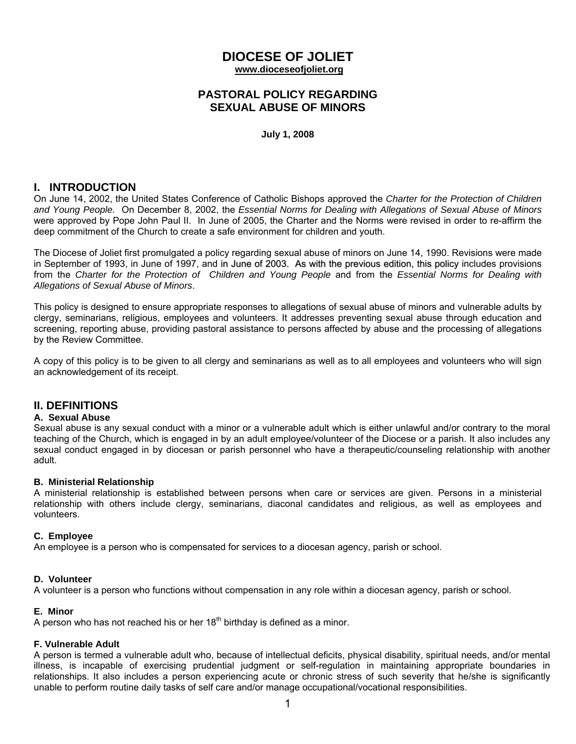# **DIOCESE OF JOLIET www.dioceseofjoliet.org**

## **PASTORAL POLICY REGARDING SEXUAL ABUSE OF MINORS**

**July 1, 2008**

# **I. INTRODUCTION**

On June 14, 2002, the United States Conference of Catholic Bishops approved the *Charter for the Protection of Children and Young People.* On December 8, 2002, the *Essential Norms for Dealing with Allegations of Sexual Abuse of Minors* were approved by Pope John Paul II. In June of 2005, the Charter and the Norms were revised in order to re-affirm the deep commitment of the Church to create a safe environment for children and youth.

The Diocese of Joliet first promulgated a policy regarding sexual abuse of minors on June 14, 1990. Revisions were made in September of 1993, in June of 1997, and in June of 2003. As with the previous edition, this policy includes provisions from the *Charter for the Protection of Children and Young People* and from the *Essential Norms for Dealing with Allegations of Sexual Abuse of Minors*.

This policy is designed to ensure appropriate responses to allegations of sexual abuse of minors and vulnerable adults by clergy, seminarians, religious, employees and volunteers. It addresses preventing sexual abuse through education and screening, reporting abuse, providing pastoral assistance to persons affected by abuse and the processing of allegations by the Review Committee.

A copy of this policy is to be given to all clergy and seminarians as well as to all employees and volunteers who will sign an acknowledgement of its receipt.

# **II. DEFINITIONS**

#### **A. Sexual Abuse**

Sexual abuse is any sexual conduct with a minor or a vulnerable adult which is either unlawful and/or contrary to the moral teaching of the Church, which is engaged in by an adult employee/volunteer of the Diocese or a parish. It also includes any sexual conduct engaged in by diocesan or parish personnel who have a therapeutic/counseling relationship with another adult.

#### **B. Ministerial Relationship**

A ministerial relationship is established between persons when care or services are given. Persons in a ministerial relationship with others include clergy, seminarians, diaconal candidates and religious, as well as employees and volunteers.

#### **C. Employee**

An employee is a person who is compensated for services to a diocesan agency, parish or school.

## **D. Volunteer**

A volunteer is a person who functions without compensation in any role within a diocesan agency, parish or school.

## **E. Minor**

A person who has not reached his or her  $18<sup>th</sup>$  birthday is defined as a minor.

**F. Vulnerable Adult**<br>A person is termed a vulnerable adult who, because of intellectual deficits, physical disability, spiritual needs, and/or mental illness, is incapable of exercising prudential judgment or self-regulation in maintaining appropriate boundaries in relationships. It also includes a person experiencing acute or chronic stress of such severity that he/she is significantly unable to perform routine daily tasks of self care and/or manage occupational/vocational responsibilities.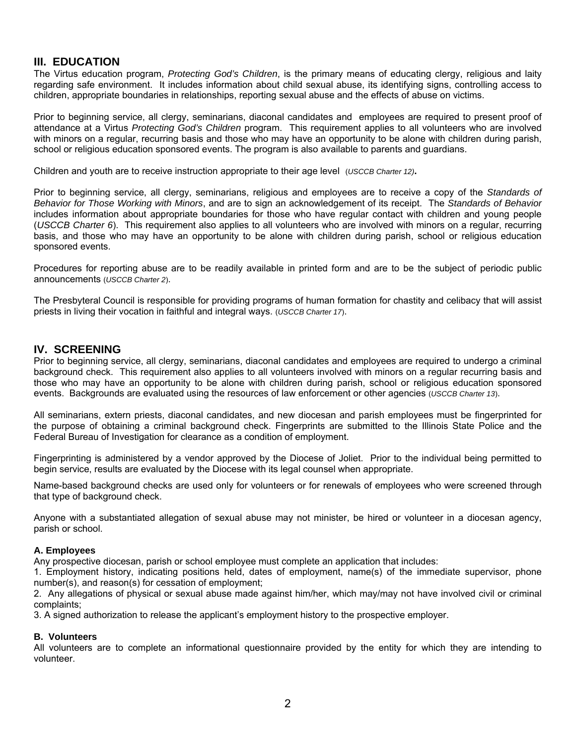# **III. EDUCATION**

The Virtus education program, *Protecting God's Children*, is the primary means of educating clergy, religious and laity regarding safe environment. It includes information about child sexual abuse, its identifying signs, controlling access to children, appropriate boundaries in relationships, reporting sexual abuse and the effects of abuse on victims.

Prior to beginning service, all clergy, seminarians, diaconal candidates and employees are required to present proof of attendance at a Virtus *Protecting God's Children* program. This requirement applies to all volunteers who are involved with minors on a regular, recurring basis and those who may have an opportunity to be alone with children during parish, school or religious education sponsored events. The program is also available to parents and guardians.

Children and youth are to receive instruction appropriate to their age level (*USCCB Charter 12)***.**

Prior to beginning service, all clergy, seminarians, religious and employees are to receive a copy of the *Standards of Behavior for Those Working with Minors*, and are to sign an acknowledgement of its receipt. The *Standards of Behavior*  includes information about appropriate boundaries for those who have regular contact with children and young people (*USCCB Charter 6*). This requirement also applies to all volunteers who are involved with minors on a regular, recurring basis, and those who may have an opportunity to be alone with children during parish, school or religious education sponsored events.

Procedures for reporting abuse are to be readily available in printed form and are to be the subject of periodic public announcements (*USCCB Charter 2*).

The Presbyteral Council is responsible for providing programs of human formation for chastity and celibacy that will assist priests in living their vocation in faithful and integral ways. (*USCCB Charter 17*).

# **IV. SCREENING**

Prior to beginning service, all clergy, seminarians, diaconal candidates and employees are required to undergo a criminal background check. This requirement also applies to all volunteers involved with minors on a regular recurring basis and those who may have an opportunity to be alone with children during parish, school or religious education sponsored events. Backgrounds are evaluated using the resources of law enforcement or other agencies (*USCCB Charter 13*).

All seminarians, extern priests, diaconal candidates, and new diocesan and parish employees must be fingerprinted for the purpose of obtaining a criminal background check. Fingerprints are submitted to the Illinois State Police and the Federal Bureau of Investigation for clearance as a condition of employment.

Fingerprinting is administered by a vendor approved by the Diocese of Joliet. Prior to the individual being permitted to begin service, results are evaluated by the Diocese with its legal counsel when appropriate.

Name-based background checks are used only for volunteers or for renewals of employees who were screened through that type of background check.

Anyone with a substantiated allegation of sexual abuse may not minister, be hired or volunteer in a diocesan agency, parish or school.

#### **A. Employees**

Any prospective diocesan, parish or school employee must complete an application that includes:

1. Employment history, indicating positions held, dates of employment, name(s) of the immediate supervisor, phone number(s), and reason(s) for cessation of employment;

2. Any allegations of physical or sexual abuse made against him/her, which may/may not have involved civil or criminal complaints;

3. A signed authorization to release the applicant's employment history to the prospective employer.

## **B. Volunteers**

All volunteers are to complete an informational questionnaire provided by the entity for which they are intending to volunteer.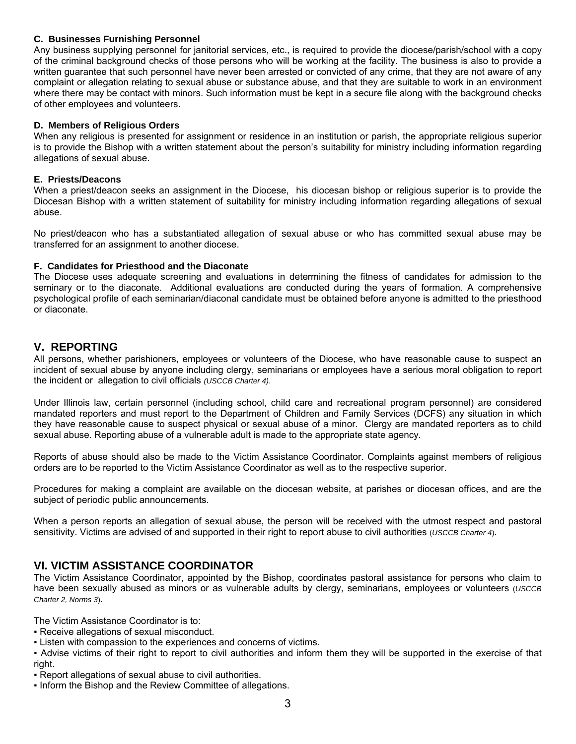## **C. Businesses Furnishing Personnel**

Any business supplying personnel for janitorial services, etc., is required to provide the diocese/parish/school with a copy of the criminal background checks of those persons who will be working at the facility. The business is also to provide a written guarantee that such personnel have never been arrested or convicted of any crime, that they are not aware of any complaint or allegation relating to sexual abuse or substance abuse, and that they are suitable to work in an environment where there may be contact with minors. Such information must be kept in a secure file along with the background checks of other employees and volunteers.

#### **D. Members of Religious Orders**

When any religious is presented for assignment or residence in an institution or parish, the appropriate religious superior is to provide the Bishop with a written statement about the person's suitability for ministry including information regarding allegations of sexual abuse.

#### **E. Priests/Deacons**

When a priest/deacon seeks an assignment in the Diocese, his diocesan bishop or religious superior is to provide the Diocesan Bishop with a written statement of suitability for ministry including information regarding allegations of sexual abuse.

No priest/deacon who has a substantiated allegation of sexual abuse or who has committed sexual abuse may be transferred for an assignment to another diocese.

#### **F. Candidates for Priesthood and the Diaconate**

The Diocese uses adequate screening and evaluations in determining the fitness of candidates for admission to the seminary or to the diaconate. Additional evaluations are conducted during the years of formation. A comprehensive psychological profile of each seminarian/diaconal candidate must be obtained before anyone is admitted to the priesthood or diaconate.

## **V. REPORTING**

All persons, whether parishioners, employees or volunteers of the Diocese, who have reasonable cause to suspect an incident of sexual abuse by anyone including clergy, seminarians or employees have a serious moral obligation to report the incident or allegation to civil officials *(USCCB Charter 4)*.

Under Illinois law, certain personnel (including school, child care and recreational program personnel) are considered mandated reporters and must report to the Department of Children and Family Services (DCFS) any situation in which they have reasonable cause to suspect physical or sexual abuse of a minor. Clergy are mandated reporters as to child sexual abuse. Reporting abuse of a vulnerable adult is made to the appropriate state agency.

Reports of abuse should also be made to the Victim Assistance Coordinator. Complaints against members of religious orders are to be reported to the Victim Assistance Coordinator as well as to the respective superior.

Procedures for making a complaint are available on the diocesan website, at parishes or diocesan offices, and are the subject of periodic public announcements.

When a person reports an allegation of sexual abuse, the person will be received with the utmost respect and pastoral sensitivity. Victims are advised of and supported in their right to report abuse to civil authorities (*USCCB Charter 4*).

# **VI. VICTIM ASSISTANCE COORDINATOR**

The Victim Assistance Coordinator, appointed by the Bishop, coordinates pastoral assistance for persons who claim to have been sexually abused as minors or as vulnerable adults by clergy, seminarians, employees or volunteers (*USCCB Charter 2, Norms 3*).

The Victim Assistance Coordinator is to:

- Receive allegations of sexual misconduct.
- Listen with compassion to the experiences and concerns of victims.
- Advise victims of their right to report to civil authorities and inform them they will be supported in the exercise of that right.
- Report allegations of sexual abuse to civil authorities.
- Inform the Bishop and the Review Committee of allegations.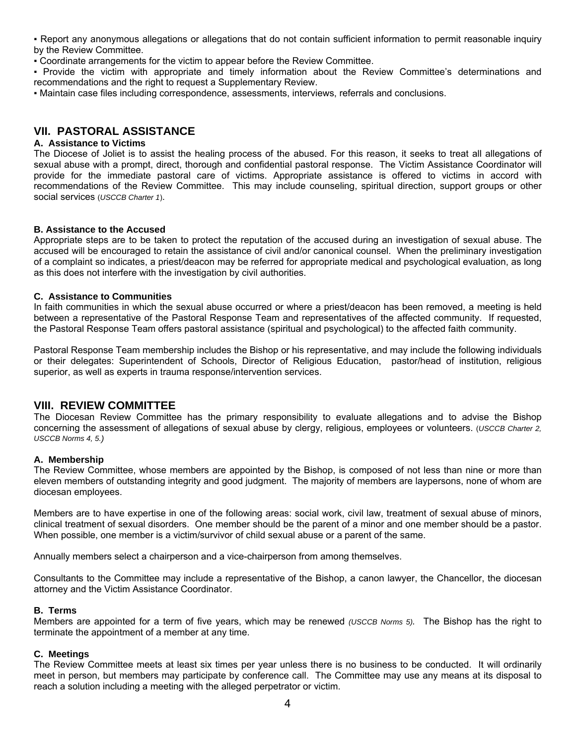▪ Report any anonymous allegations or allegations that do not contain sufficient information to permit reasonable inquiry by the Review Committee.

▪ Coordinate arrangements for the victim to appear before the Review Committee.

▪ Provide the victim with appropriate and timely information about the Review Committee's determinations and recommendations and the right to request a Supplementary Review.

▪ Maintain case files including correspondence, assessments, interviews, referrals and conclusions.

# **VII. PASTORAL ASSISTANCE**

#### **A. Assistance to Victims**

The Diocese of Joliet is to assist the healing process of the abused. For this reason, it seeks to treat all allegations of sexual abuse with a prompt, direct, thorough and confidential pastoral response. The Victim Assistance Coordinator will provide for the immediate pastoral care of victims. Appropriate assistance is offered to victims in accord with recommendations of the Review Committee. This may include counseling, spiritual direction, support groups or other social services (*USCCB Charter 1*).

#### **B. Assistance to the Accused**

Appropriate steps are to be taken to protect the reputation of the accused during an investigation of sexual abuse. The accused will be encouraged to retain the assistance of civil and/or canonical counsel. When the preliminary investigation of a complaint so indicates, a priest/deacon may be referred for appropriate medical and psychological evaluation, as long as this does not interfere with the investigation by civil authorities.

#### **C. Assistance to Communities**

In faith communities in which the sexual abuse occurred or where a priest/deacon has been removed, a meeting is held between a representative of the Pastoral Response Team and representatives of the affected community. If requested, the Pastoral Response Team offers pastoral assistance (spiritual and psychological) to the affected faith community.

Pastoral Response Team membership includes the Bishop or his representative, and may include the following individuals or their delegates: Superintendent of Schools, Director of Religious Education, pastor/head of institution, religious superior, as well as experts in trauma response/intervention services.

# **VIII. REVIEW COMMITTEE**

The Diocesan Review Committee has the primary responsibility to evaluate allegations and to advise the Bishop concerning the assessment of allegations of sexual abuse by clergy, religious, employees or volunteers. (*USCCB Charter 2, USCCB Norms 4, 5.)*

#### **A. Membership**

The Review Committee, whose members are appointed by the Bishop, is composed of not less than nine or more than eleven members of outstanding integrity and good judgment. The majority of members are laypersons, none of whom are diocesan employees.

Members are to have expertise in one of the following areas: social work, civil law, treatment of sexual abuse of minors, clinical treatment of sexual disorders. One member should be the parent of a minor and one member should be a pastor. When possible, one member is a victim/survivor of child sexual abuse or a parent of the same.

Annually members select a chairperson and a vice-chairperson from among themselves.

Consultants to the Committee may include a representative of the Bishop, a canon lawyer, the Chancellor, the diocesan attorney and the Victim Assistance Coordinator.

#### **B. Terms**

Members are appointed for a term of five years, which may be renewed *(USCCB Norms 5).* The Bishop has the right to terminate the appointment of a member at any time.

#### **C. Meetings**

The Review Committee meets at least six times per year unless there is no business to be conducted. It will ordinarily meet in person, but members may participate by conference call. The Committee may use any means at its disposal to reach a solution including a meeting with the alleged perpetrator or victim.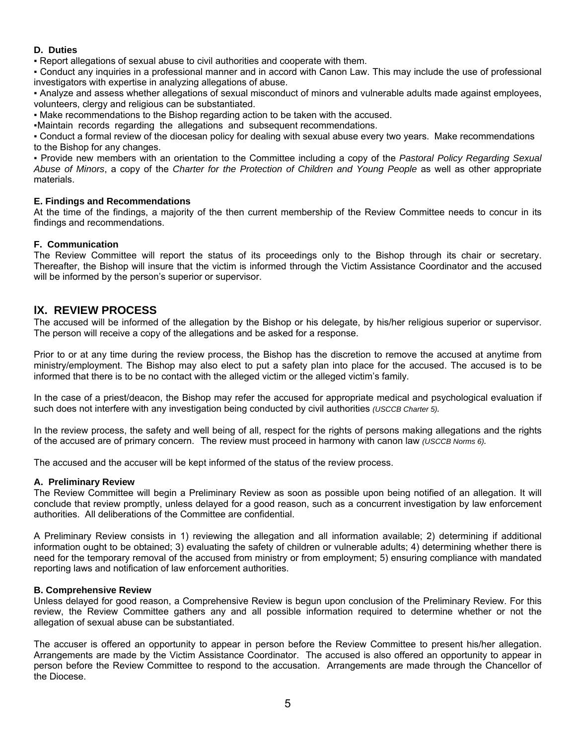#### **D. Duties**

▪ Report allegations of sexual abuse to civil authorities and cooperate with them.

▪ Conduct any inquiries in a professional manner and in accord with Canon Law. This may include the use of professional investigators with expertise in analyzing allegations of abuse.

▪ Analyze and assess whether allegations of sexual misconduct of minors and vulnerable adults made against employees, volunteers, clergy and religious can be substantiated.

▪ Make recommendations to the Bishop regarding action to be taken with the accused.

▪Maintain records regarding the allegations and subsequent recommendations.

▪ Conduct a formal review of the diocesan policy for dealing with sexual abuse every two years. Make recommendations to the Bishop for any changes.

▪ Provide new members with an orientation to the Committee including a copy of the *Pastoral Policy Regarding Sexual Abuse of Minors*, a copy of the *Charter for the Protection of Children and Young People* as well as other appropriate materials.

### **E. Findings and Recommendations**

At the time of the findings, a majority of the then current membership of the Review Committee needs to concur in its findings and recommendations.

### **F. Communication**

The Review Committee will report the status of its proceedings only to the Bishop through its chair or secretary. Thereafter, the Bishop will insure that the victim is informed through the Victim Assistance Coordinator and the accused will be informed by the person's superior or supervisor.

## **lX. REVIEW PROCESS**

The accused will be informed of the allegation by the Bishop or his delegate, by his/her religious superior or supervisor. The person will receive a copy of the allegations and be asked for a response.

Prior to or at any time during the review process, the Bishop has the discretion to remove the accused at anytime from ministry/employment. The Bishop may also elect to put a safety plan into place for the accused. The accused is to be informed that there is to be no contact with the alleged victim or the alleged victim's family.

In the case of a priest/deacon, the Bishop may refer the accused for appropriate medical and psychological evaluation if such does not interfere with any investigation being conducted by civil authorities *(USCCB Charter 5).* 

In the review process, the safety and well being of all, respect for the rights of persons making allegations and the rights of the accused are of primary concern. The review must proceed in harmony with canon law *(USCCB Norms 6).*

The accused and the accuser will be kept informed of the status of the review process.

#### **A. Preliminary Review**

The Review Committee will begin a Preliminary Review as soon as possible upon being notified of an allegation. It will conclude that review promptly, unless delayed for a good reason, such as a concurrent investigation by law enforcement authorities. All deliberations of the Committee are confidential.

A Preliminary Review consists in 1) reviewing the allegation and all information available; 2) determining if additional information ought to be obtained; 3) evaluating the safety of children or vulnerable adults; 4) determining whether there is need for the temporary removal of the accused from ministry or from employment; 5) ensuring compliance with mandated reporting laws and notification of law enforcement authorities.

#### **B. Comprehensive Review**

Unless delayed for good reason, a Comprehensive Review is begun upon conclusion of the Preliminary Review. For this review, the Review Committee gathers any and all possible information required to determine whether or not the allegation of sexual abuse can be substantiated.

The accuser is offered an opportunity to appear in person before the Review Committee to present his/her allegation. Arrangements are made by the Victim Assistance Coordinator. The accused is also offered an opportunity to appear in person before the Review Committee to respond to the accusation. Arrangements are made through the Chancellor of the Diocese.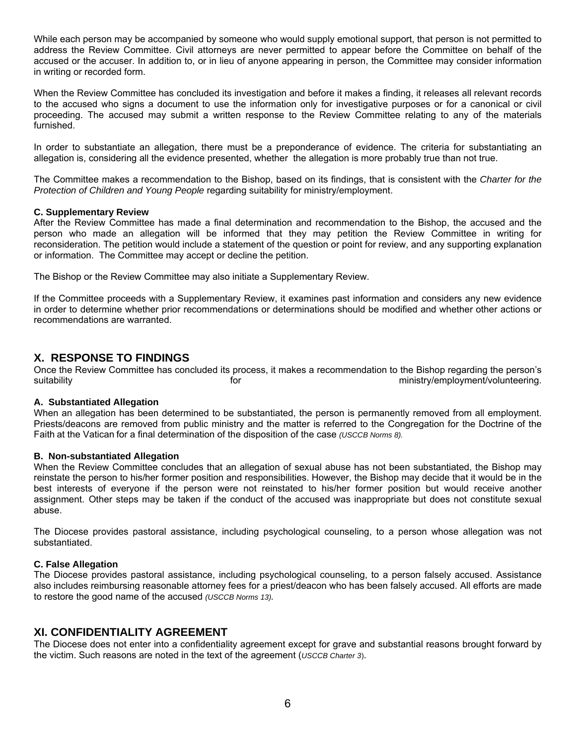While each person may be accompanied by someone who would supply emotional support, that person is not permitted to address the Review Committee. Civil attorneys are never permitted to appear before the Committee on behalf of the accused or the accuser. In addition to, or in lieu of anyone appearing in person, the Committee may consider information in writing or recorded form.

When the Review Committee has concluded its investigation and before it makes a finding, it releases all relevant records to the accused who signs a document to use the information only for investigative purposes or for a canonical or civil proceeding. The accused may submit a written response to the Review Committee relating to any of the materials furnished.

In order to substantiate an allegation, there must be a preponderance of evidence. The criteria for substantiating an allegation is, considering all the evidence presented, whether the allegation is more probably true than not true.

The Committee makes a recommendation to the Bishop, based on its findings, that is consistent with the *Charter for the Protection of Children and Young People* regarding suitability for ministry/employment.

#### **C. Supplementary Review**

After the Review Committee has made a final determination and recommendation to the Bishop, the accused and the person who made an allegation will be informed that they may petition the Review Committee in writing for reconsideration. The petition would include a statement of the question or point for review, and any supporting explanation or information. The Committee may accept or decline the petition.

The Bishop or the Review Committee may also initiate a Supplementary Review.

If the Committee proceeds with a Supplementary Review, it examines past information and considers any new evidence in order to determine whether prior recommendations or determinations should be modified and whether other actions or recommendations are warranted.

# **X. RESPONSE TO FINDINGS**

Once the Review Committee has concluded its process, it makes a recommendation to the Bishop regarding the person's suitability suitability for the ministry/employment/volunteering.

### **A. Substantiated Allegation**

When an allegation has been determined to be substantiated, the person is permanently removed from all employment. Priests/deacons are removed from public ministry and the matter is referred to the Congregation for the Doctrine of the Faith at the Vatican for a final determination of the disposition of the case *(USCCB Norms 8).*

#### **B. Non-substantiated Allegation**

When the Review Committee concludes that an allegation of sexual abuse has not been substantiated, the Bishop may reinstate the person to his/her former position and responsibilities. However, the Bishop may decide that it would be in the best interests of everyone if the person were not reinstated to his/her former position but would receive another assignment. Other steps may be taken if the conduct of the accused was inappropriate but does not constitute sexual abuse.

The Diocese provides pastoral assistance, including psychological counseling, to a person whose allegation was not substantiated.

#### **C. False Allegation**

The Diocese provides pastoral assistance, including psychological counseling, to a person falsely accused. Assistance also includes reimbursing reasonable attorney fees for a priest/deacon who has been falsely accused. All efforts are made to restore the good name of the accused *(USCCB Norms 13).* 

# **XI. CONFIDENTIALITY AGREEMENT**

The Diocese does not enter into a confidentiality agreement except for grave and substantial reasons brought forward by the victim. Such reasons are noted in the text of the agreement (*USCCB Charter 3*).